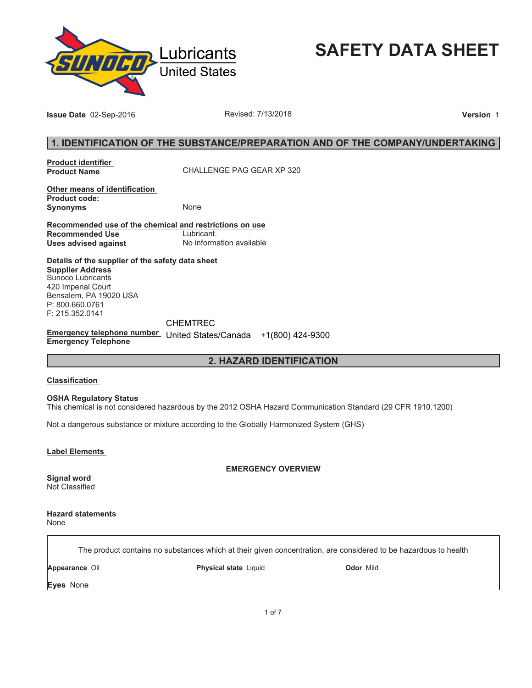

**SAFETY DATA SHEET**

**Issue Date** 02-Sep-2016 **Revised: 7/13/2018 Proposed: 7/13/2018 Version** 1

## **1. IDENTIFICATION OF THE SUBSTANCE/PREPARATION AND OF THE COMPANY/UNDERTAKING**

**Product identifier** 

**Product Name** CHALLENGE PAG GEAR XP 320

**Other means of identification Product code: Synonyms** None

**Recommended use of the chemical and restrictions on use Recommended Use<br>Uses advised against Uses advised against** No information available

**Details of the supplier of the safety data sheet Supplier Address** Sunoco Lubricants 420 Imperial Court Bensalem, PA 19020 USA P: 800.660.0761 F: 215.352.0141

CHEMTREC

**Emergency telephone number**  United States/Canada +1(800) 424-9300**Emergency Telephone**

## **2. HAZARD IDENTIFICATION**

#### **Classification**

**OSHA Regulatory Status**

This chemical is not considered hazardous by the 2012 OSHA Hazard Communication Standard (29 CFR 1910.1200)

Not a dangerous substance or mixture according to the Globally Harmonized System (GHS)

**Label Elements** 

**EMERGENCY OVERVIEW**

**Signal word** Not Classified

**Hazard statements** None

The product contains no substances which at their given concentration, are considered to be hazardous to health

**Appearance** Oil **Physical state** Liquid **Odor** Mild

**Eyes** None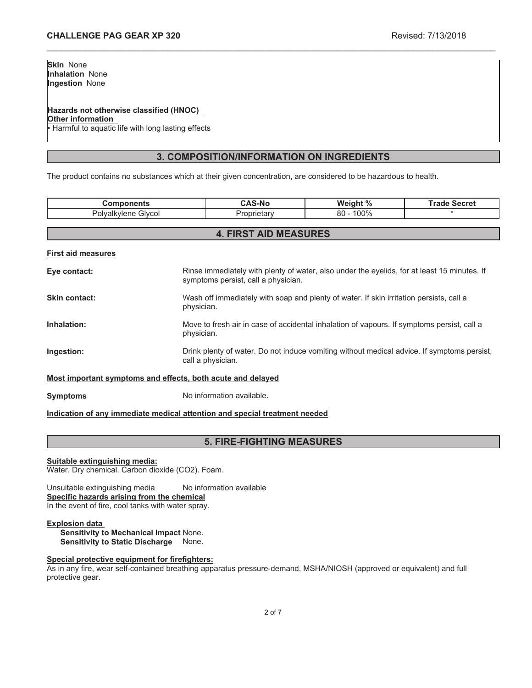### **Hazards not otherwise classified (HNOC)**

**Other information**

Harmful to aquatic life with long lasting effects

## **3. COMPOSITION/INFORMATION ON INGREDIENTS**

\_\_\_\_\_\_\_\_\_\_\_\_\_\_\_\_\_\_\_\_\_\_\_\_\_\_\_\_\_\_\_\_\_\_\_\_\_\_\_\_\_\_\_\_\_\_\_\_\_\_\_\_\_\_\_\_\_\_\_\_\_\_\_\_\_\_\_\_\_\_\_\_\_\_\_\_\_\_\_\_\_\_\_\_\_\_\_\_\_\_\_\_\_

The product contains no substances which at their given concentration, are considered to be hazardous to health.

| <b>Components</b>                                           |                                                                                                                 | <b>CAS-No</b>                       | Weight %                                                                                    | <b>Trade Secret</b> |
|-------------------------------------------------------------|-----------------------------------------------------------------------------------------------------------------|-------------------------------------|---------------------------------------------------------------------------------------------|---------------------|
| Polyalkylene Glycol                                         |                                                                                                                 | Proprietary                         | $80 - 100\%$                                                                                |                     |
|                                                             |                                                                                                                 |                                     |                                                                                             |                     |
|                                                             |                                                                                                                 | <b>4. FIRST AID MEASURES</b>        |                                                                                             |                     |
| <b>First aid measures</b>                                   |                                                                                                                 |                                     |                                                                                             |                     |
| Eye contact:                                                |                                                                                                                 | symptoms persist, call a physician. | Rinse immediately with plenty of water, also under the eyelids, for at least 15 minutes. If |                     |
| Skin contact:                                               | Wash off immediately with soap and plenty of water. If skin irritation persists, call a<br>physician.           |                                     |                                                                                             |                     |
| Inhalation:                                                 | Move to fresh air in case of accidental inhalation of vapours. If symptoms persist, call a<br>physician.        |                                     |                                                                                             |                     |
| Ingestion:                                                  | Drink plenty of water. Do not induce vomiting without medical advice. If symptoms persist,<br>call a physician. |                                     |                                                                                             |                     |
| Most important symptoms and effects, both acute and delayed |                                                                                                                 |                                     |                                                                                             |                     |

**Symptoms** No information available.

### **Indication of any immediate medical attention and special treatment needed**

# **5. FIRE-FIGHTING MEASURES**

### **Suitable extinguishing media:**

Water. Dry chemical. Carbon dioxide (CO2). Foam.

Unsuitable extinguishing media No information available **Specific hazards arising from the chemical** In the event of fire, cool tanks with water spray.

### **Explosion data**

**Sensitivity to Mechanical Impact** None. **Sensitivity to Static Discharge** None.

### **Special protective equipment for firefighters:**

As in any fire, wear self-contained breathing apparatus pressure-demand, MSHA/NIOSH (approved or equivalent) and full protective gear.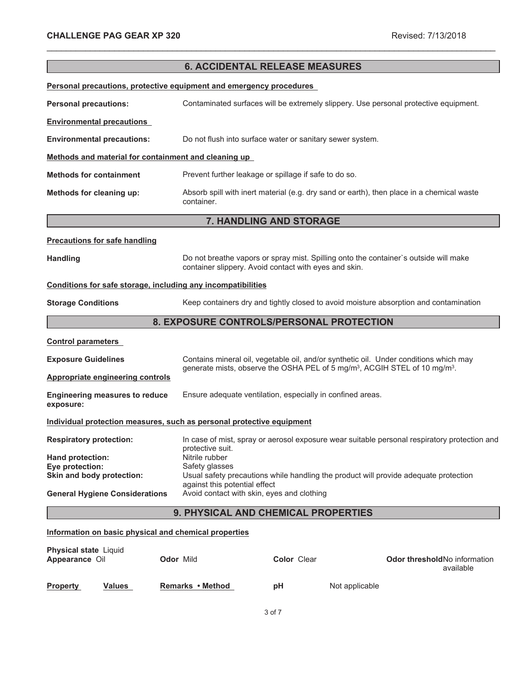|                                                                       |                                                                             | <b>6. ACCIDENTAL RELEASE MEASURES</b>                                                                                                         |                                                                                              |
|-----------------------------------------------------------------------|-----------------------------------------------------------------------------|-----------------------------------------------------------------------------------------------------------------------------------------------|----------------------------------------------------------------------------------------------|
| Personal precautions, protective equipment and emergency procedures   |                                                                             |                                                                                                                                               |                                                                                              |
|                                                                       |                                                                             |                                                                                                                                               |                                                                                              |
| <b>Personal precautions:</b>                                          |                                                                             | Contaminated surfaces will be extremely slippery. Use personal protective equipment.                                                          |                                                                                              |
| <b>Environmental precautions</b>                                      |                                                                             |                                                                                                                                               |                                                                                              |
| <b>Environmental precautions:</b>                                     |                                                                             | Do not flush into surface water or sanitary sewer system.                                                                                     |                                                                                              |
| Methods and material for containment and cleaning up                  |                                                                             |                                                                                                                                               |                                                                                              |
| <b>Methods for containment</b>                                        |                                                                             | Prevent further leakage or spillage if safe to do so.                                                                                         |                                                                                              |
| Methods for cleaning up:                                              | container.                                                                  | Absorb spill with inert material (e.g. dry sand or earth), then place in a chemical waste                                                     |                                                                                              |
|                                                                       |                                                                             | 7. HANDLING AND STORAGE                                                                                                                       |                                                                                              |
| <b>Precautions for safe handling</b>                                  |                                                                             |                                                                                                                                               |                                                                                              |
| <b>Handling</b>                                                       |                                                                             | Do not breathe vapors or spray mist. Spilling onto the container's outside will make<br>container slippery. Avoid contact with eyes and skin. |                                                                                              |
| Conditions for safe storage, including any incompatibilities          |                                                                             |                                                                                                                                               |                                                                                              |
| <b>Storage Conditions</b>                                             |                                                                             | Keep containers dry and tightly closed to avoid moisture absorption and contamination                                                         |                                                                                              |
|                                                                       |                                                                             | 8. EXPOSURE CONTROLS/PERSONAL PROTECTION                                                                                                      |                                                                                              |
| <b>Control parameters</b>                                             |                                                                             |                                                                                                                                               |                                                                                              |
| <b>Exposure Guidelines</b>                                            |                                                                             | Contains mineral oil, vegetable oil, and/or synthetic oil. Under conditions which may                                                         |                                                                                              |
| <b>Appropriate engineering controls</b>                               |                                                                             | generate mists, observe the OSHA PEL of 5 mg/m <sup>3</sup> , ACGIH STEL of 10 mg/m <sup>3</sup> .                                            |                                                                                              |
| <b>Engineering measures to reduce</b><br>exposure:                    |                                                                             | Ensure adequate ventilation, especially in confined areas.                                                                                    |                                                                                              |
| Individual protection measures, such as personal protective equipment |                                                                             |                                                                                                                                               |                                                                                              |
| <b>Respiratory protection:</b>                                        |                                                                             |                                                                                                                                               | In case of mist, spray or aerosol exposure wear suitable personal respiratory protection and |
| Hand protection:                                                      | protective suit.<br>Nitrile rubber                                          |                                                                                                                                               |                                                                                              |
| Eye protection:<br>Skin and body protection:                          | Safety glasses                                                              | Usual safety precautions while handling the product will provide adequate protection                                                          |                                                                                              |
| <b>General Hygiene Considerations</b>                                 | against this potential effect<br>Avoid contact with skin, eyes and clothing |                                                                                                                                               |                                                                                              |
|                                                                       |                                                                             |                                                                                                                                               |                                                                                              |
|                                                                       |                                                                             | 9. PHYSICAL AND CHEMICAL PROPERTIES                                                                                                           |                                                                                              |
| Information on basic physical and chemical properties                 |                                                                             |                                                                                                                                               |                                                                                              |
| Physical state Liquid<br>Appearance Oil                               | Odor Mild                                                                   | Color Clear                                                                                                                                   | Odor threshold No information                                                                |

\_\_\_\_\_\_\_\_\_\_\_\_\_\_\_\_\_\_\_\_\_\_\_\_\_\_\_\_\_\_\_\_\_\_\_\_\_\_\_\_\_\_\_\_\_\_\_\_\_\_\_\_\_\_\_\_\_\_\_\_\_\_\_\_\_\_\_\_\_\_\_\_\_\_\_\_\_\_\_\_\_\_\_\_\_\_\_\_\_\_\_\_\_

|                 |               | ______________   | _ _ . _ . _ . _ | available      |
|-----------------|---------------|------------------|-----------------|----------------|
| <b>Property</b> | <b>Values</b> | Remarks • Method | рH              | Not applicable |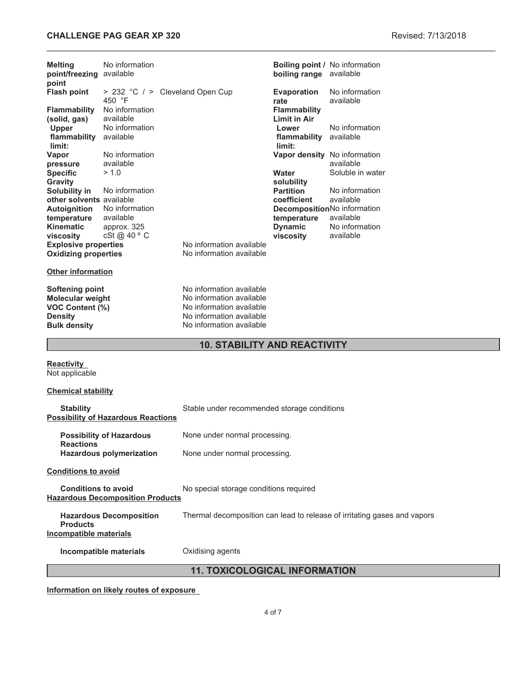# **CHALLENGE PAG GEAR XP 320 Revised: 7/13/2018**

| <b>Melting</b><br>point/freezing available<br>point                                                    | No information                            |                                                                                                                                          | boiling range available          | <b>Boiling point / No information</b>                                    |
|--------------------------------------------------------------------------------------------------------|-------------------------------------------|------------------------------------------------------------------------------------------------------------------------------------------|----------------------------------|--------------------------------------------------------------------------|
| <b>Flash point</b>                                                                                     | 450 °F                                    | > 232 °C / > Cleveland Open Cup                                                                                                          | <b>Evaporation</b>               | No information<br>available                                              |
| <b>Flammability</b>                                                                                    | No information                            |                                                                                                                                          | rate<br><b>Flammability</b>      |                                                                          |
| (solid, gas)<br>Upper                                                                                  | available<br>No information               |                                                                                                                                          | <b>Limit in Air</b><br>Lower     | No information                                                           |
| flammability<br>limit:                                                                                 | available                                 |                                                                                                                                          | flammability available<br>limit: |                                                                          |
| Vapor                                                                                                  | No information                            |                                                                                                                                          |                                  | Vapor density No information                                             |
| pressure<br><b>Specific</b>                                                                            | available<br>> 1.0                        |                                                                                                                                          | Water                            | available<br>Soluble in water                                            |
| <b>Gravity</b>                                                                                         |                                           |                                                                                                                                          | solubility                       |                                                                          |
| Solubility in                                                                                          | No information                            |                                                                                                                                          | <b>Partition</b>                 | No information                                                           |
| other solvents available<br><b>Autoignition</b>                                                        | No information                            |                                                                                                                                          | coefficient                      | available<br>DecompositionNo information                                 |
| temperature                                                                                            | available                                 |                                                                                                                                          | temperature                      | available                                                                |
| <b>Kinematic</b>                                                                                       | approx. 325                               |                                                                                                                                          | <b>Dynamic</b>                   | No information                                                           |
| viscosity<br><b>Explosive properties</b>                                                               | cSt @ 40 ° C                              | No information available                                                                                                                 | viscosity                        | available                                                                |
| <b>Oxidizing properties</b>                                                                            |                                           | No information available                                                                                                                 |                                  |                                                                          |
| <b>Other information</b>                                                                               |                                           |                                                                                                                                          |                                  |                                                                          |
| <b>Softening point</b><br>Molecular weight<br>VOC Content (%)<br><b>Density</b><br><b>Bulk density</b> |                                           | No information available<br>No information available<br>No information available<br>No information available<br>No information available |                                  |                                                                          |
|                                                                                                        |                                           | <b>10. STABILITY AND REACTIVITY</b>                                                                                                      |                                  |                                                                          |
| <b>Reactivity</b><br>Not applicable                                                                    |                                           |                                                                                                                                          |                                  |                                                                          |
| <b>Chemical stability</b>                                                                              |                                           |                                                                                                                                          |                                  |                                                                          |
| <b>Stability</b>                                                                                       | <b>Possibility of Hazardous Reactions</b> | Stable under recommended storage conditions                                                                                              |                                  |                                                                          |
| <b>Reactions</b>                                                                                       | <b>Possibility of Hazardous</b>           | None under normal processing.                                                                                                            |                                  |                                                                          |
|                                                                                                        | <b>Hazardous polymerization</b>           | None under normal processing.                                                                                                            |                                  |                                                                          |
| <b>Conditions to avoid</b>                                                                             |                                           |                                                                                                                                          |                                  |                                                                          |
| <b>Conditions to avoid</b>                                                                             | <b>Hazardous Decomposition Products</b>   | No special storage conditions required                                                                                                   |                                  |                                                                          |
|                                                                                                        | <b>Hazardous Decomposition</b>            |                                                                                                                                          |                                  | Thermal decomposition can lead to release of irritating gases and vapors |

**Products Incompatible materials**

**Incompatible materials Oxidising agents** 

**11. TOXICOLOGICAL INFORMATION**

**Information on likely routes of exposure**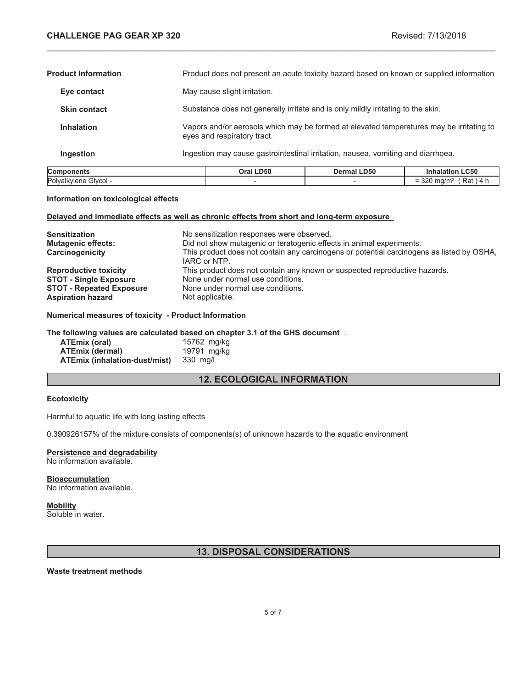$= 320$  mg/m<sup>3</sup> (Rat ) 4 h

| Components                 | Oral LD50                                                                                                               | <b>Dermal LD50</b>                                                                       | <b>Inhalation LC50</b> |
|----------------------------|-------------------------------------------------------------------------------------------------------------------------|------------------------------------------------------------------------------------------|------------------------|
| Ingestion                  |                                                                                                                         | Ingestion may cause gastrointestinal irritation, nausea, vomiting and diarrhoea.         |                        |
| <b>Inhalation</b>          | Vapors and/or aerosols which may be formed at elevated temperatures may be irritating to<br>eyes and respiratory tract. |                                                                                          |                        |
| <b>Skin contact</b>        |                                                                                                                         | Substance does not generally irritate and is only mildly irritating to the skin.         |                        |
| Eye contact                | May cause slight irritation.                                                                                            |                                                                                          |                        |
| <b>Product Information</b> |                                                                                                                         | Product does not present an acute toxicity hazard based on known or supplied information |                        |

\_\_\_\_\_\_\_\_\_\_\_\_\_\_\_\_\_\_\_\_\_\_\_\_\_\_\_\_\_\_\_\_\_\_\_\_\_\_\_\_\_\_\_\_\_\_\_\_\_\_\_\_\_\_\_\_\_\_\_\_\_\_\_\_\_\_\_\_\_\_\_\_\_\_\_\_\_\_\_\_\_\_\_\_\_\_\_\_\_\_\_\_\_

#### **Information on toxicological effects**

#### **Delayed and immediate effects as well as chronic effects from short and long-term exposure**

Polyalkylene Glycol -  $\overline{\phantom{a}}$  -  $\overline{\phantom{a}}$  -

| <b>Sensitization</b><br><b>Mutagenic effects:</b><br>Carcinogenicity | No sensitization responses were observed.<br>Did not show mutagenic or teratogenic effects in animal experiments.<br>This product does not contain any carcinogens or potential carcinogens as listed by OSHA,<br>IARC or NTP. |
|----------------------------------------------------------------------|--------------------------------------------------------------------------------------------------------------------------------------------------------------------------------------------------------------------------------|
| <b>Reproductive toxicity</b>                                         | This product does not contain any known or suspected reproductive hazards.                                                                                                                                                     |
| <b>STOT - Single Exposure</b>                                        | None under normal use conditions.                                                                                                                                                                                              |
| <b>STOT - Repeated Exposure</b>                                      | None under normal use conditions.                                                                                                                                                                                              |
| <b>Aspiration hazard</b>                                             | Not applicable.                                                                                                                                                                                                                |

### **Numerical measures of toxicity - Product Information**

#### **The following values are calculated based on chapter 3.1 of the GHS document** .

| ATEmix (oral)                 | 15762 mg/kg |
|-------------------------------|-------------|
| <b>ATEmix (dermal)</b>        | 19791 mg/kg |
| ATEmix (inhalation-dust/mist) | 330 mg/l    |

# **12. ECOLOGICAL INFORMATION**

#### **Ecotoxicity**

Harmful to aquatic life with long lasting effects

0.390926157% of the mixture consists of components(s) of unknown hazards to the aquatic environment

# **Persistence and degradability**

No information available.

#### **Bioaccumulation** No information available.

### **Mobility**

Soluble in water.

## **13. DISPOSAL CONSIDERATIONS**

### **Waste treatment methods**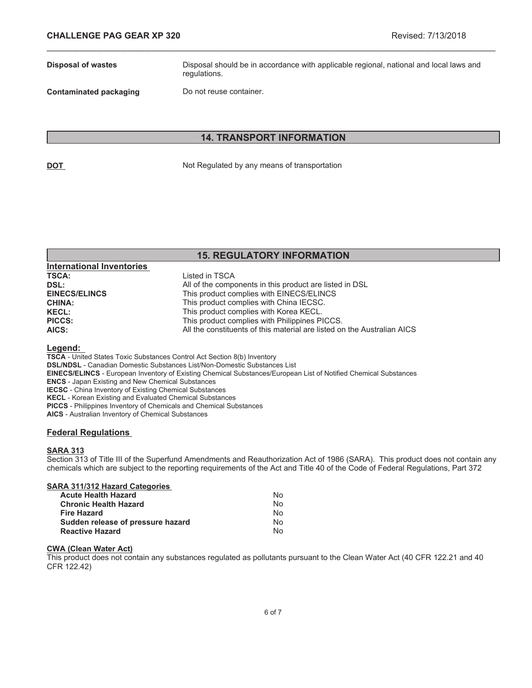**Disposal of wastes** Disposal should be in accordance with applicable regional, national and local laws and regulations.

**Contaminated packaging Do not reuse container.** 

## **14. TRANSPORT INFORMATION**

\_\_\_\_\_\_\_\_\_\_\_\_\_\_\_\_\_\_\_\_\_\_\_\_\_\_\_\_\_\_\_\_\_\_\_\_\_\_\_\_\_\_\_\_\_\_\_\_\_\_\_\_\_\_\_\_\_\_\_\_\_\_\_\_\_\_\_\_\_\_\_\_\_\_\_\_\_\_\_\_\_\_\_\_\_\_\_\_\_\_\_\_\_

**DOT** Not Regulated by any means of transportation

# **15. REGULATORY INFORMATION**

| <b>International Inventories</b> |                                                                         |
|----------------------------------|-------------------------------------------------------------------------|
| <b>TSCA:</b>                     | Listed in TSCA                                                          |
| DSL:                             | All of the components in this product are listed in DSL                 |
| <b>EINECS/ELINCS</b>             | This product complies with EINECS/ELINCS                                |
| <b>CHINA:</b>                    | This product complies with China IECSC.                                 |
| <b>KECL:</b>                     | This product complies with Korea KECL.                                  |
| <b>PICCS:</b>                    | This product complies with Philippines PICCS.                           |
| AICS:                            | All the constituents of this material are listed on the Australian AICS |

#### **Legend:**

**TSCA** - United States Toxic Substances Control Act Section 8(b) Inventory

**DSL/NDSL** - Canadian Domestic Substances List/Non-Domestic Substances List

- **EINECS/ELINCS** European Inventory of Existing Chemical Substances/European List of Notified Chemical Substances
- **ENCS** Japan Existing and New Chemical Substances

**IECSC** - China Inventory of Existing Chemical Substances

**KECL** - Korean Existing and Evaluated Chemical Substances

**PICCS** - Philippines Inventory of Chemicals and Chemical Substances

**AICS** - Australian Inventory of Chemical Substances

### **Federal Regulations**

### **SARA 313**

Section 313 of Title III of the Superfund Amendments and Reauthorization Act of 1986 (SARA). This product does not contain any chemicals which are subject to the reporting requirements of the Act and Title 40 of the Code of Federal Regulations, Part 372

| N٥ |
|----|
| N٥ |
| N٥ |
| N٥ |
| N٥ |
|    |

#### **CWA (Clean Water Act)**

This product does not contain any substances regulated as pollutants pursuant to the Clean Water Act (40 CFR 122.21 and 40 CFR 122.42)